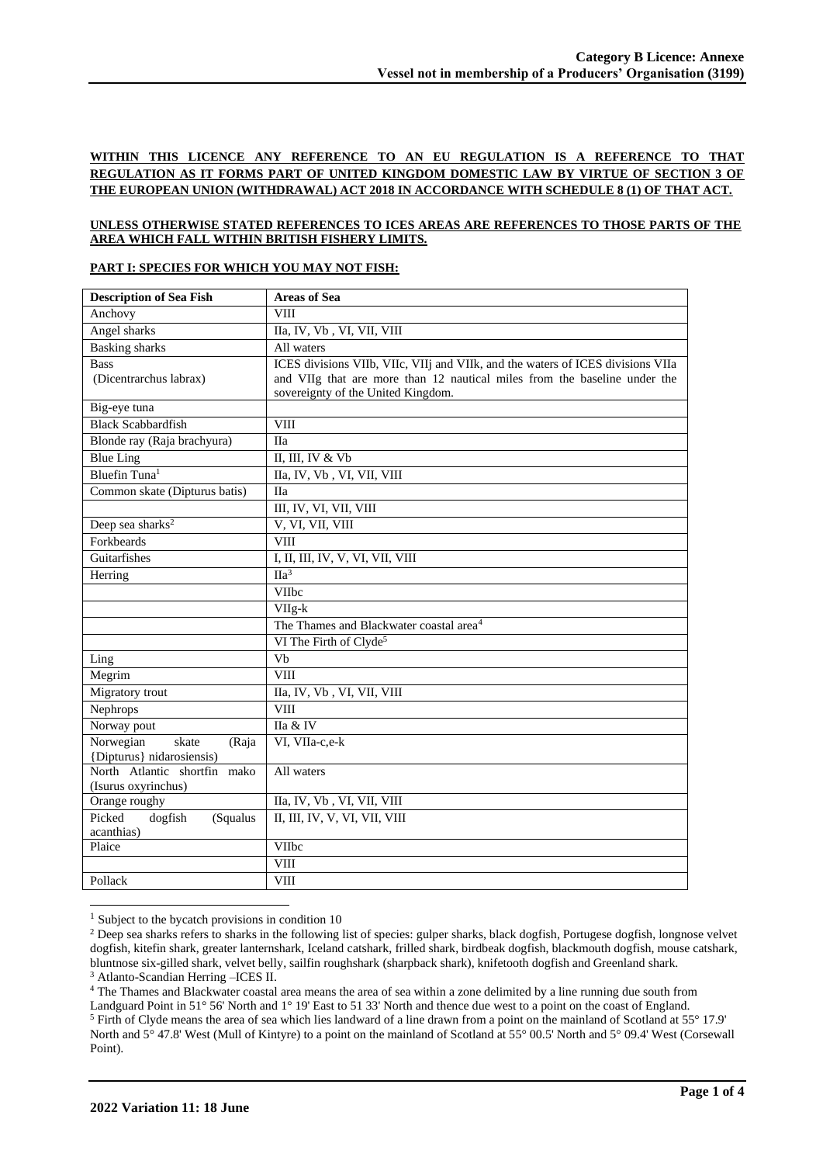# **WITHIN THIS LICENCE ANY REFERENCE TO AN EU REGULATION IS A REFERENCE TO THAT REGULATION AS IT FORMS PART OF UNITED KINGDOM DOMESTIC LAW BY VIRTUE OF SECTION 3 OF THE EUROPEAN UNION (WITHDRAWAL) ACT 2018 IN ACCORDANCE WITH SCHEDULE 8 (1) OF THAT ACT.**

## **UNLESS OTHERWISE STATED REFERENCES TO ICES AREAS ARE REFERENCES TO THOSE PARTS OF THE AREA WHICH FALL WITHIN BRITISH FISHERY LIMITS.**

#### **PART I: SPECIES FOR WHICH YOU MAY NOT FISH:**

| <b>Description of Sea Fish</b>                           | <b>Areas of Sea</b>                                                                                                                                                                                |
|----------------------------------------------------------|----------------------------------------------------------------------------------------------------------------------------------------------------------------------------------------------------|
| Anchovy                                                  | <b>VIII</b>                                                                                                                                                                                        |
| Angel sharks                                             | IIa, IV, Vb, VI, VII, VIII                                                                                                                                                                         |
| <b>Basking</b> sharks                                    | All waters                                                                                                                                                                                         |
| <b>Bass</b><br>(Dicentrarchus labrax)                    | ICES divisions VIIb, VIIc, VIIj and VIIk, and the waters of ICES divisions VIIa<br>and VIIg that are more than 12 nautical miles from the baseline under the<br>sovereignty of the United Kingdom. |
| Big-eye tuna                                             |                                                                                                                                                                                                    |
| <b>Black Scabbardfish</b>                                | <b>VIII</b>                                                                                                                                                                                        |
| Blonde ray (Raja brachyura)                              | <b>IIa</b>                                                                                                                                                                                         |
| <b>Blue Ling</b>                                         | II, III, IV & Vb                                                                                                                                                                                   |
| Bluefin Tuna <sup>1</sup>                                | IIa, IV, Vb, VI, VII, VIII                                                                                                                                                                         |
| Common skate (Dipturus batis)                            | <b>IIa</b>                                                                                                                                                                                         |
|                                                          | III, IV, VI, VII, VIII                                                                                                                                                                             |
| Deep sea sharks <sup>2</sup>                             | V, VI, VII, VIII                                                                                                                                                                                   |
| Forkbeards                                               | <b>VIII</b>                                                                                                                                                                                        |
| Guitarfishes                                             | I, II, III, IV, V, VI, VII, VIII                                                                                                                                                                   |
| Herring                                                  | $\Pi a^3$                                                                                                                                                                                          |
|                                                          | VIIbc                                                                                                                                                                                              |
|                                                          | $VIIg-k$                                                                                                                                                                                           |
|                                                          | The Thames and Blackwater coastal area <sup>4</sup>                                                                                                                                                |
|                                                          | VI The Firth of Clyde <sup>5</sup>                                                                                                                                                                 |
| Ling                                                     | Vb                                                                                                                                                                                                 |
| Megrim                                                   | <b>VIII</b>                                                                                                                                                                                        |
| Migratory trout                                          | IIa, IV, Vb, VI, VII, VIII                                                                                                                                                                         |
| Nephrops                                                 | <b>VIII</b>                                                                                                                                                                                        |
| Norway pout                                              | IIa & IV                                                                                                                                                                                           |
| Norwegian<br>skate<br>(Raja<br>{Dipturus} nidarosiensis) | VI, VIIa-c,e-k                                                                                                                                                                                     |
| North Atlantic shortfin mako<br>(Isurus oxyrinchus)      | All waters                                                                                                                                                                                         |
| Orange roughy                                            | IIa, IV, Vb, VI, VII, VIII                                                                                                                                                                         |
| Picked<br>dogfish<br>(Squalus<br>acanthias)              | II, III, IV, V, VI, VII, VIII                                                                                                                                                                      |
| Plaice                                                   | <b>VIIbc</b>                                                                                                                                                                                       |
|                                                          | <b>VIII</b>                                                                                                                                                                                        |
| Pollack                                                  | VIII                                                                                                                                                                                               |

 $<sup>1</sup>$  Subject to the bycatch provisions in condition 10</sup>

<sup>3</sup> Atlanto-Scandian Herring –ICES II.

<sup>4</sup> The Thames and Blackwater coastal area means the area of sea within a zone delimited by a line running due south from

 $<sup>2</sup>$  Deep sea sharks refers to sharks in the following list of species: gulper sharks, black dogfish, Portugese dogfish, longnose velvet</sup> dogfish, kitefin shark, greater lanternshark, Iceland catshark, frilled shark, birdbeak dogfish, blackmouth dogfish, mouse catshark, bluntnose six-gilled shark, velvet belly, sailfin roughshark (sharpback shark), knifetooth dogfish and Greenland shark.

Landguard Point in 51° 56' North and 1° 19' East to 51 33' North and thence due west to a point on the coast of England. <sup>5</sup> Firth of Clyde means the area of sea which lies landward of a line drawn from a point on the mainland of Scotland at 55° 17.9' North and 5° 47.8' West (Mull of Kintyre) to a point on the mainland of Scotland at 55° 00.5' North and 5° 09.4' West (Corsewall Point).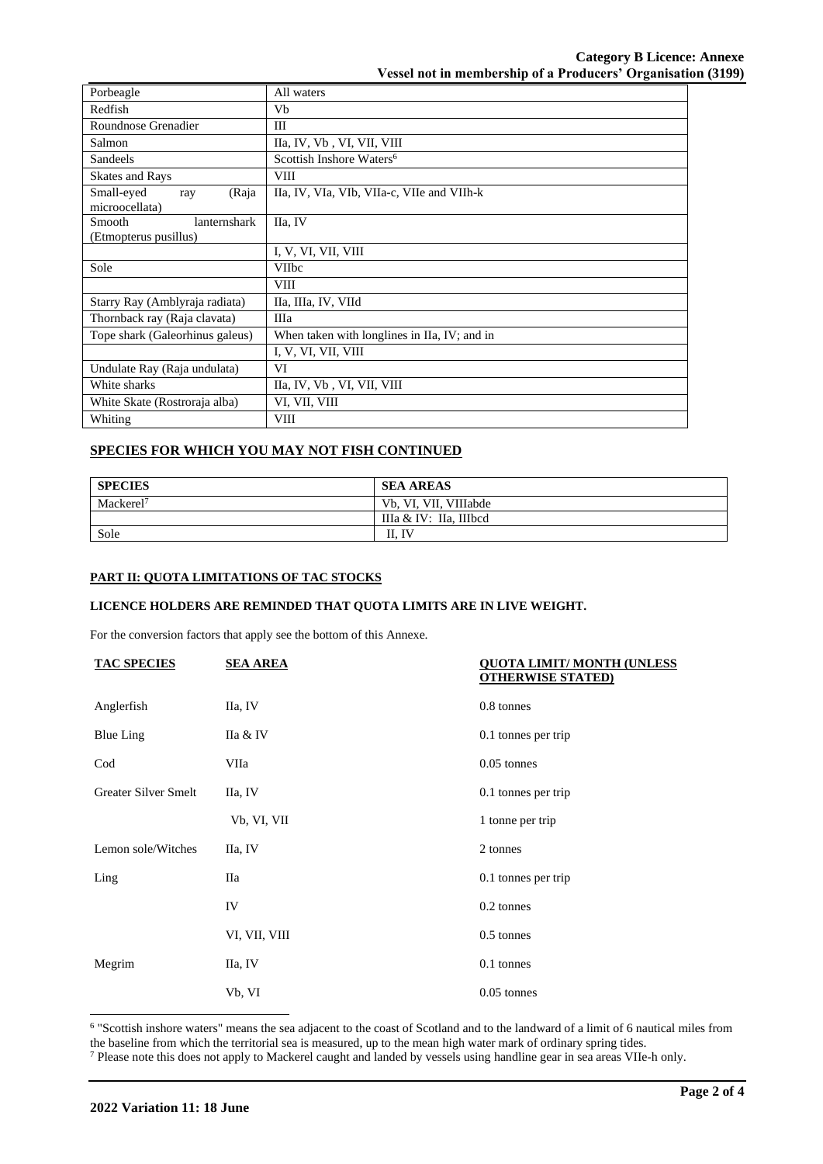**Category B Licence: Annexe Vessel not in membership of a Producers' Organisation (3199)**

| Porbeagle                                               | All waters                                   |  |
|---------------------------------------------------------|----------------------------------------------|--|
| Redfish<br>Vb                                           |                                              |  |
| Roundnose Grenadier                                     | Ш                                            |  |
| Salmon                                                  | IIa, IV, Vb, VI, VII, VIII                   |  |
| Scottish Inshore Waters <sup>6</sup><br><b>Sandeels</b> |                                              |  |
| <b>Skates and Rays</b>                                  | <b>VIII</b>                                  |  |
| (Raja<br>Small-eyed<br>ray<br>microocellata)            | IIa, IV, VIa, VIb, VIIa-c, VIIe and VIIh-k   |  |
| lanternshark<br>Smooth                                  | IIa, IV                                      |  |
| (Etmopterus pusillus)                                   |                                              |  |
|                                                         | I, V, VI, VII, VIII                          |  |
| Sole                                                    | <b>VIIbc</b>                                 |  |
|                                                         | <b>VIII</b>                                  |  |
| Starry Ray (Amblyraja radiata)                          | IIa, IIIa, IV, VIId                          |  |
| Thornback ray (Raja clavata)                            | Шa                                           |  |
| Tope shark (Galeorhinus galeus)                         | When taken with longlines in IIa, IV; and in |  |
|                                                         | I, V, VI, VII, VIII                          |  |
| Undulate Ray (Raja undulata)                            | VI                                           |  |
| White sharks                                            | IIa, IV, Vb, VI, VII, VIII                   |  |
| White Skate (Rostroraja alba)                           | VI, VII, VIII                                |  |
| Whiting                                                 | <b>VIII</b>                                  |  |

## **SPECIES FOR WHICH YOU MAY NOT FISH CONTINUED**

| <b>SPECIES</b>        | <b>SEA AREAS</b>       |
|-----------------------|------------------------|
| Mackerel <sup>7</sup> | Vb, VI, VII, VIIIabde  |
|                       | IIIa & IV: IIa, IIIbcd |
| Sole                  | $\Lambda$ . IV         |

#### **PART II: QUOTA LIMITATIONS OF TAC STOCKS**

## **LICENCE HOLDERS ARE REMINDED THAT QUOTA LIMITS ARE IN LIVE WEIGHT.**

For the conversion factors that apply see the bottom of this Annexe.

| <b>TAC SPECIES</b>   | <b>SEA AREA</b> | <b>QUOTA LIMIT/MONTH (UNLESS)</b><br><b>OTHERWISE STATED)</b> |
|----------------------|-----------------|---------------------------------------------------------------|
| Anglerfish           | IIa, IV         | 0.8 tonnes                                                    |
| <b>Blue Ling</b>     | IIa & IV        | 0.1 tonnes per trip                                           |
| $\mathrm{Cod}$       | VIIa            | $0.05$ tonnes                                                 |
| Greater Silver Smelt | IIa, IV         | 0.1 tonnes per trip                                           |
|                      | Vb, VI, VII     | 1 tonne per trip                                              |
| Lemon sole/Witches   | IIa, IV         | 2 tonnes                                                      |
| Ling                 | Пa              | 0.1 tonnes per trip                                           |
|                      | IV              | 0.2 tonnes                                                    |
|                      | VI, VII, VIII   | 0.5 tonnes                                                    |
| Megrim               | IIa, IV         | 0.1 tonnes                                                    |
|                      | Vb, VI          | $0.05$ tonnes                                                 |

6 "Scottish inshore waters" means the sea adjacent to the coast of Scotland and to the landward of a limit of 6 nautical miles from the baseline from which the territorial sea is measured, up to the mean high water mark of ordinary spring tides.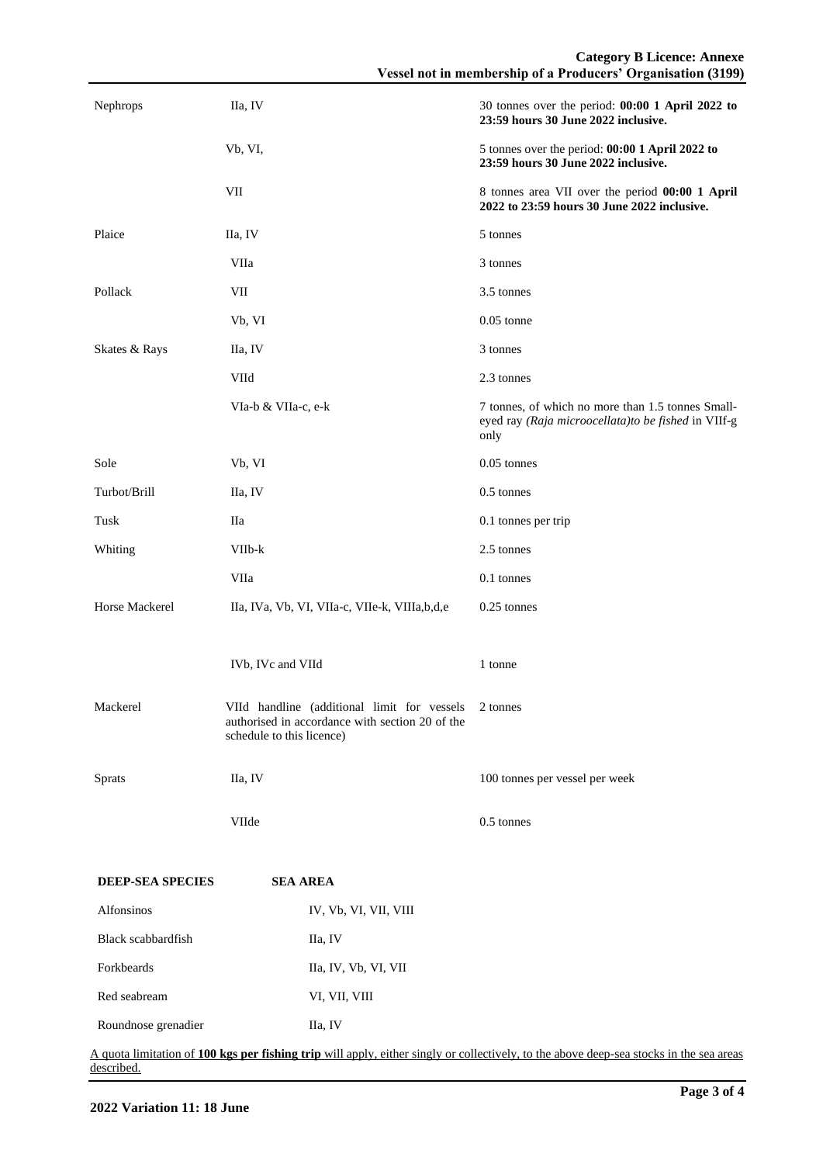| Nephrops                | IIa, IV                                                                                                                              | 30 tonnes over the period: 00:00 1 April 2022 to<br>23:59 hours 30 June 2022 inclusive.                                                 |
|-------------------------|--------------------------------------------------------------------------------------------------------------------------------------|-----------------------------------------------------------------------------------------------------------------------------------------|
|                         | Vb, VI,                                                                                                                              | 5 tonnes over the period: 00:00 1 April 2022 to<br>23:59 hours 30 June 2022 inclusive.                                                  |
|                         | VII                                                                                                                                  | 8 tonnes area VII over the period 00:00 1 April<br>2022 to 23:59 hours 30 June 2022 inclusive.                                          |
| Plaice                  | IIa, IV                                                                                                                              | 5 tonnes                                                                                                                                |
|                         | VIIa                                                                                                                                 | 3 tonnes                                                                                                                                |
| Pollack                 | VII                                                                                                                                  | 3.5 tonnes                                                                                                                              |
|                         | Vb, VI                                                                                                                               | $0.05$ tonne                                                                                                                            |
| Skates & Rays           | IIa, IV                                                                                                                              | 3 tonnes                                                                                                                                |
|                         | VIId                                                                                                                                 | 2.3 tonnes                                                                                                                              |
|                         | VIa-b & VIIa-c, e-k                                                                                                                  | 7 tonnes, of which no more than 1.5 tonnes Small-<br>eyed ray (Raja microocellata)to be fished in VIIf-g<br>only                        |
| Sole                    | Vb, VI                                                                                                                               | $0.05$ tonnes                                                                                                                           |
| Turbot/Brill            | IIa, IV                                                                                                                              | $0.5$ tonnes                                                                                                                            |
| Tusk                    | Пa                                                                                                                                   | 0.1 tonnes per trip                                                                                                                     |
| Whiting                 | VIIb-k                                                                                                                               | 2.5 tonnes                                                                                                                              |
|                         | VIIa                                                                                                                                 | 0.1 tonnes                                                                                                                              |
| Horse Mackerel          | IIa, IVa, Vb, VI, VIIa-c, VIIe-k, VIIIa,b,d,e                                                                                        | 0.25 tonnes                                                                                                                             |
|                         |                                                                                                                                      |                                                                                                                                         |
|                         | IVb, IVc and VIId                                                                                                                    | 1 tonne                                                                                                                                 |
| Mackerel                | VIId handline (additional limit for vessels 2 tonnes<br>authorised in accordance with section 20 of the<br>schedule to this licence) |                                                                                                                                         |
| Sprats                  | IIa, IV                                                                                                                              | 100 tonnes per vessel per week                                                                                                          |
|                         | VIIde                                                                                                                                | 0.5 tonnes                                                                                                                              |
| <b>DEEP-SEA SPECIES</b> | <b>SEA AREA</b>                                                                                                                      |                                                                                                                                         |
| Alfonsinos              | IV, Vb, VI, VII, VIII                                                                                                                |                                                                                                                                         |
| Black scabbardfish      | IIa, IV                                                                                                                              |                                                                                                                                         |
| Forkbeards              | IIa, IV, Vb, VI, VII                                                                                                                 |                                                                                                                                         |
| Red seabream            | VI, VII, VIII                                                                                                                        |                                                                                                                                         |
| Roundnose grenadier     | IIa, IV                                                                                                                              |                                                                                                                                         |
|                         |                                                                                                                                      | A quota limitation of 100 kgs per fishing trip will apply, either singly or collectively, to the above deep-sea stocks in the sea areas |

described.